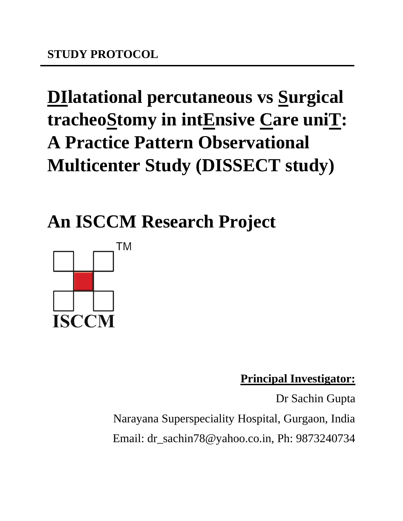# **DIlatational percutaneous vs Surgical tracheoStomy in intEnsive Care uniT: A Practice Pattern Observational Multicenter Study (DISSECT study)**

**An ISCCM Research Project**



**Principal Investigator:**

Dr Sachin Gupta Narayana Superspeciality Hospital, Gurgaon, India Email: dr\_sachin78@yahoo.co.in, Ph: 9873240734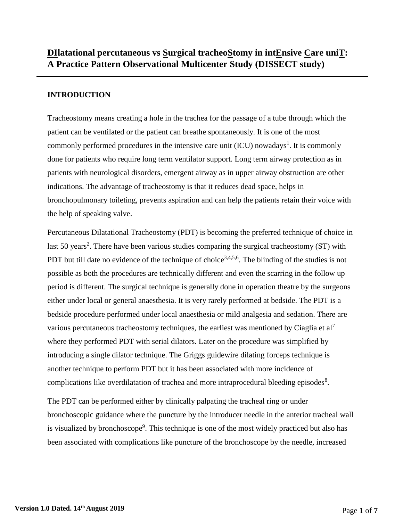# **INTRODUCTION**

Tracheostomy means creating a hole in the trachea for the passage of a tube through which the patient can be ventilated or the patient can breathe spontaneously. It is one of the most commonly performed procedures in the intensive care unit  $(ICU)$  nowadays<sup>1</sup>. It is commonly done for patients who require long term ventilator support. Long term airway protection as in patients with neurological disorders, emergent airway as in upper airway obstruction are other indications. The advantage of tracheostomy is that it reduces dead space, helps in bronchopulmonary toileting, prevents aspiration and can help the patients retain their voice with the help of speaking valve.

Percutaneous Dilatational Tracheostomy (PDT) is becoming the preferred technique of choice in last 50 years<sup>2</sup>. There have been various studies comparing the surgical tracheostomy (ST) with PDT but till date no evidence of the technique of choice<sup>3,4,5,6</sup>. The blinding of the studies is not possible as both the procedures are technically different and even the scarring in the follow up period is different. The surgical technique is generally done in operation theatre by the surgeons either under local or general anaesthesia. It is very rarely performed at bedside. The PDT is a bedside procedure performed under local anaesthesia or mild analgesia and sedation. There are various percutaneous tracheostomy techniques, the earliest was mentioned by Ciaglia et  $al^7$ where they performed PDT with serial dilators. Later on the procedure was simplified by introducing a single dilator technique. The Griggs guidewire dilating forceps technique is another technique to perform PDT but it has been associated with more incidence of complications like overdilatation of trachea and more intraprocedural bleeding episodes<sup>8</sup>.

The PDT can be performed either by clinically palpating the tracheal ring or under bronchoscopic guidance where the puncture by the introducer needle in the anterior tracheal wall is visualized by bronchoscope<sup>9</sup>. This technique is one of the most widely practiced but also has been associated with complications like puncture of the bronchoscope by the needle, increased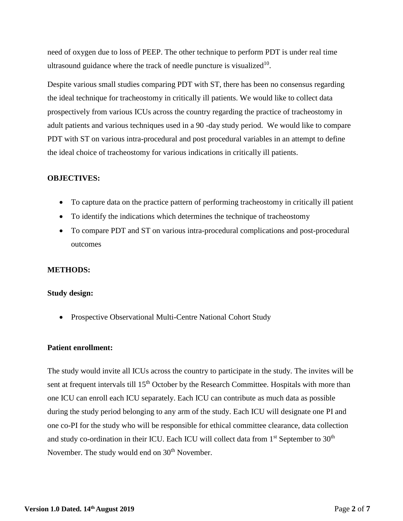need of oxygen due to loss of PEEP. The other technique to perform PDT is under real time ultrasound guidance where the track of needle puncture is visualized $10$ .

Despite various small studies comparing PDT with ST, there has been no consensus regarding the ideal technique for tracheostomy in critically ill patients. We would like to collect data prospectively from various ICUs across the country regarding the practice of tracheostomy in adult patients and various techniques used in a 90 -day study period. We would like to compare PDT with ST on various intra-procedural and post procedural variables in an attempt to define the ideal choice of tracheostomy for various indications in critically ill patients.

#### **OBJECTIVES:**

- To capture data on the practice pattern of performing tracheostomy in critically ill patient
- To identify the indications which determines the technique of tracheostomy
- To compare PDT and ST on various intra-procedural complications and post-procedural outcomes

#### **METHODS:**

#### **Study design:**

• Prospective Observational Multi-Centre National Cohort Study

#### **Patient enrollment:**

The study would invite all ICUs across the country to participate in the study. The invites will be sent at frequent intervals till 15<sup>th</sup> October by the Research Committee. Hospitals with more than one ICU can enroll each ICU separately. Each ICU can contribute as much data as possible during the study period belonging to any arm of the study. Each ICU will designate one PI and one co-PI for the study who will be responsible for ethical committee clearance, data collection and study co-ordination in their ICU. Each ICU will collect data from  $1<sup>st</sup>$  September to  $30<sup>th</sup>$ November. The study would end on 30<sup>th</sup> November.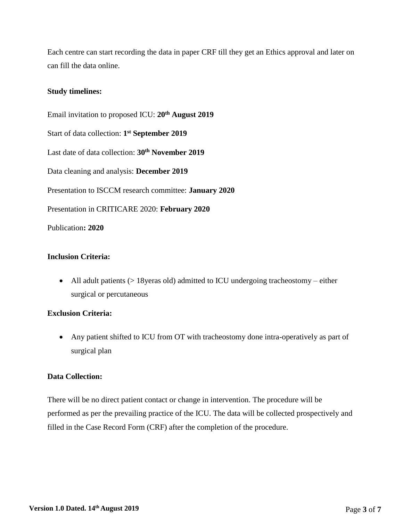Each centre can start recording the data in paper CRF till they get an Ethics approval and later on can fill the data online.

## **Study timelines:**

Email invitation to proposed ICU: **20th August 2019** Start of data collection: **1 st September 2019** Last date of data collection: **30th November 2019** Data cleaning and analysis: **December 2019** Presentation to ISCCM research committee: **January 2020** Presentation in CRITICARE 2020: **February 2020** Publication**: 2020**

# **Inclusion Criteria:**

• All adult patients (> 18 yeras old) admitted to ICU undergoing tracheostomy – either surgical or percutaneous

# **Exclusion Criteria:**

 Any patient shifted to ICU from OT with tracheostomy done intra-operatively as part of surgical plan

#### **Data Collection:**

There will be no direct patient contact or change in intervention. The procedure will be performed as per the prevailing practice of the ICU. The data will be collected prospectively and filled in the Case Record Form (CRF) after the completion of the procedure.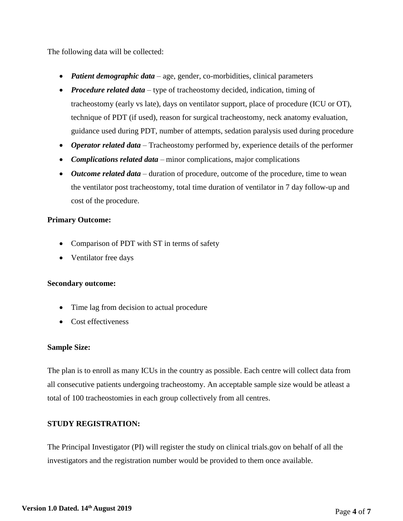The following data will be collected:

- *Patient demographic data* age, gender, co-morbidities, clinical parameters
- *Procedure related data* type of tracheostomy decided, indication, timing of tracheostomy (early vs late), days on ventilator support, place of procedure (ICU or OT), technique of PDT (if used), reason for surgical tracheostomy, neck anatomy evaluation, guidance used during PDT, number of attempts, sedation paralysis used during procedure
- *Operator related data* Tracheostomy performed by, experience details of the performer
- *Complications related data* minor complications, major complications
- *Outcome related data*  duration of procedure, outcome of the procedure, time to wean the ventilator post tracheostomy, total time duration of ventilator in 7 day follow-up and cost of the procedure.

## **Primary Outcome:**

- Comparison of PDT with ST in terms of safety
- Ventilator free days

#### **Secondary outcome:**

- Time lag from decision to actual procedure
- Cost effectiveness

#### **Sample Size:**

The plan is to enroll as many ICUs in the country as possible. Each centre will collect data from all consecutive patients undergoing tracheostomy. An acceptable sample size would be atleast a total of 100 tracheostomies in each group collectively from all centres.

# **STUDY REGISTRATION:**

The Principal Investigator (PI) will register the study on clinical trials.gov on behalf of all the investigators and the registration number would be provided to them once available.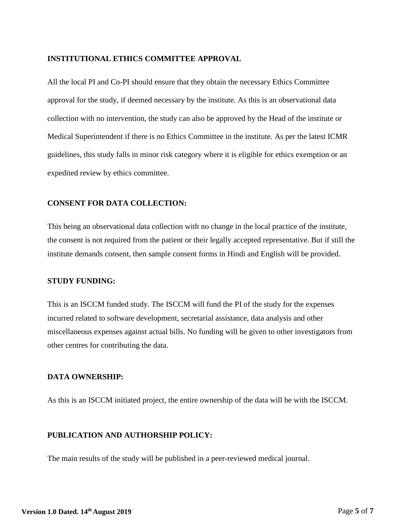#### **INSTITUTIONAL ETHICS COMMITTEE APPROVAL**

All the local PI and Co-PI should ensure that they obtain the necessary Ethics Committee approval for the study, if deemed necessary by the institute. As this is an observational data collection with no intervention, the study can also be approved by the Head of the institute or Medical Superintendent if there is no Ethics Committee in the institute. As per the latest ICMR guidelines, this study falls in minor risk category where it is eligible for ethics exemption or an expedited review by ethics committee.

#### **CONSENT FOR DATA COLLECTION:**

This being an observational data collection with no change in the local practice of the institute, the consent is not required from the patient or their legally accepted representative. But if still the institute demands consent, then sample consent forms in Hindi and English will be provided.

#### **STUDY FUNDING:**

This is an ISCCM funded study. The ISCCM will fund the PI of the study for the expenses incurred related to software development, secretarial assistance, data analysis and other miscellaneous expenses against actual bills. No funding will be given to other investigators from other centres for contributing the data.

#### **DATA OWNERSHIP:**

As this is an ISCCM initiated project, the entire ownership of the data will be with the ISCCM.

#### **PUBLICATION AND AUTHORSHIP POLICY:**

The main results of the study will be published in a peer-reviewed medical journal.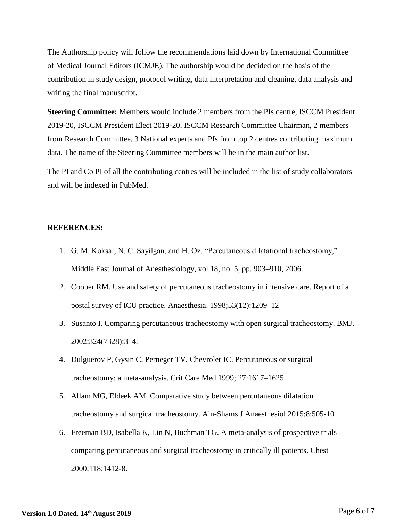The Authorship policy will follow the recommendations laid down by International Committee of Medical Journal Editors (ICMJE). The authorship would be decided on the basis of the contribution in study design, protocol writing, data interpretation and cleaning, data analysis and writing the final manuscript.

**Steering Committee:** Members would include 2 members from the PIs centre, ISCCM President 2019-20, ISCCM President Elect 2019-20, ISCCM Research Committee Chairman, 2 members from Research Committee, 3 National experts and PIs from top 2 centres contributing maximum data. The name of the Steering Committee members will be in the main author list.

The PI and Co PI of all the contributing centres will be included in the list of study collaborators and will be indexed in PubMed.

#### **REFERENCES:**

- 1. G. M. Koksal, N. C. Sayilgan, and H. Oz, "Percutaneous dilatational tracheostomy," Middle East Journal of Anesthesiology, vol.18, no. 5, pp. 903–910, 2006.
- 2. Cooper RM. Use and safety of percutaneous tracheostomy in intensive care. Report of a postal survey of ICU practice. Anaesthesia. 1998;53(12):1209–12
- 3. Susanto I. Comparing percutaneous tracheostomy with open surgical tracheostomy. BMJ. 2002;324(7328):3–4.
- 4. Dulguerov P, Gysin C, Perneger TV, Chevrolet JC. Percutaneous or surgical tracheostomy: a meta-analysis. Crit Care Med 1999; 27:1617–1625.
- 5. Allam MG, Eldeek AM. Comparative study between percutaneous dilatation tracheostomy and surgical tracheostomy. Ain-Shams J Anaesthesiol 2015;8:505-10
- 6. Freeman BD, Isabella K, Lin N, Buchman TG. A meta-analysis of prospective trials comparing percutaneous and surgical tracheostomy in critically ill patients. Chest 2000;118:1412-8.